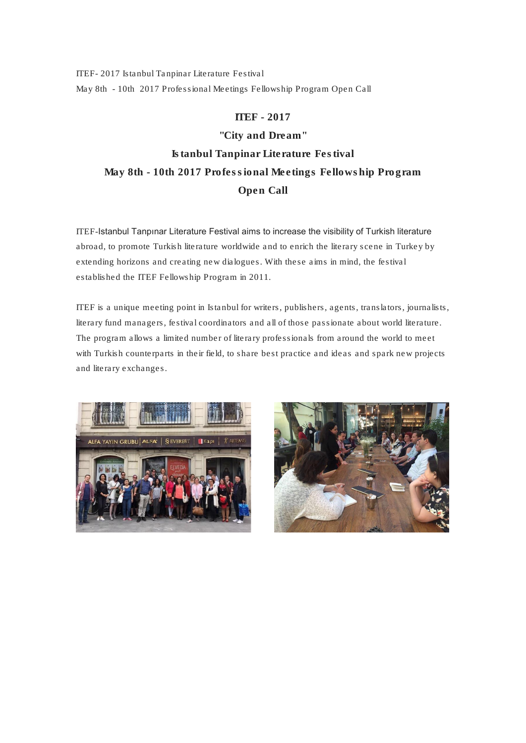*ITEF- 2017 Istanbul Tanpinar Literature Festival May 8th - 10th 2017 Professional Meetings Fellowship Program Open Call*

ITEF - 2017 "City and Dream" Istanbul Tanpinar Literature Festival May 8th - 10th 2017 Professional Meetings Fellowship Program

Open Call

ITEF-Istanbul Tanpınar Literature Festival aims to increase the visibility of Turkish literature abroad, to promote Turkish literature worldwide and to enrich the literary scene in Turkey by extending horizons and creating new dialogues. With these aims in mind, the festival established the ITEF Fellowship Program in 2011.

ITEF is a unique meeting point in Istanbul for writers, publishers, agents, translators, journalists, literary fund managers, festival coordinators and all of those passionate about world literature. The program allows a limited number of literary professionals from around the world to meet with Turkish counterparts in their field, to share best practice and ideas and spark new projects and literary exchanges.



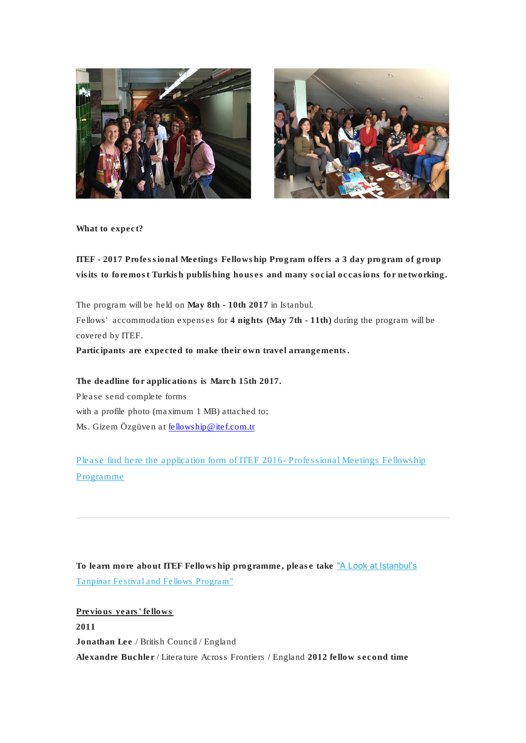



What to expect?

ITEF - 2017 Professional Meetings Fellowship Program offers a 3 day program of group visits to foremost Turkish publishing houses and many social occasions for networking.

The program will be held on May 8th - 10th 2017 in Istanbul. Fellows' accommodation expenses for 4 nights (May 7th - 11th) during the program will be covered by ITEF. Participants are expected to make their own travel arrangements.

The deadline for applications is March 15th 2017. Please send complete forms with a profile photo (maximum 1 MB) attached to; Ms. Gizem Özgüven at [fellowship@itef.com.tr](mailto:fellowship@itef.com.tr)

[Please find here the application form of ITEF 2016-](http://itef.us5.list-manage2.com/track/click?u=73eda41366896d6187a7d2c77&id=d869cf685f&e=c49ec52eb6) Professional Meetings Fellowship [Programme](http://itef.us5.list-manage2.com/track/click?u=73eda41366896d6187a7d2c77&id=d869cf685f&e=c49ec52eb6)

To learn more about ITEF Fellowship programme, please take ["A Look at Istanbul's](http://itef.us5.list-manage.com/track/click?u=73eda41366896d6187a7d2c77&id=59d311cd0b&e=c49ec52eb6)  [Tanpinar Festival and Fellows Program"](http://itef.us5.list-manage.com/track/click?u=73eda41366896d6187a7d2c77&id=59d311cd0b&e=c49ec52eb6)

Previous years' fellows 2011 Jonathan Lee / British Council / England Alexandre Buchler / Literature Across Frontiers / England 2012 fellow second time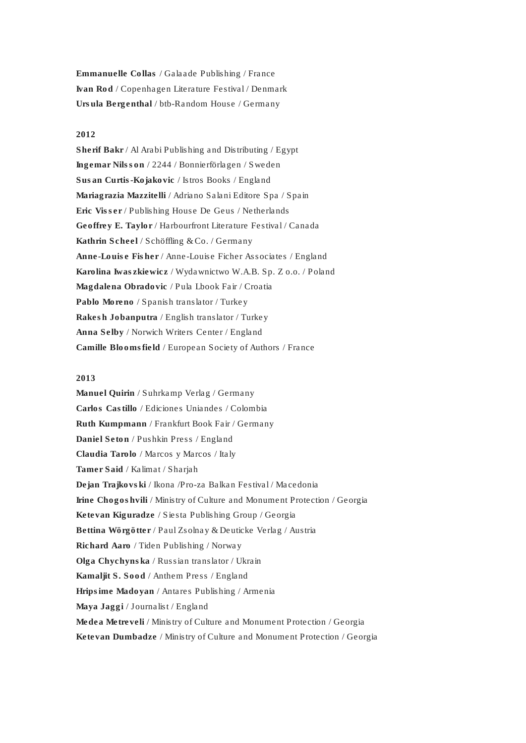Emmanuelle Collas / Galaade Publishing / France Ivan Rod / Copenhagen Literature Festival / Denmark Ursula Bergenthal / btb-Random House / Germany

#### 2012

Sherif Bakr / Al Arabi Publishing and Distributing / Egypt Ingemar Nilsson / 2244 / Bonnierförlagen / Sweden Susan Curtis-Kojakovic / Istros Books / England Mariagrazia Mazzitelli / Adriano Salani Editore Spa / Spain Eric Visser / Publishing House De Geus / Netherlands Geoffrey E. Taylor / Harbourfront Literature Festival / Canada Kathrin Scheel / Schöffling & Co. / Germany Anne-Louise Fisher / Anne-Louise Ficher Associates / England Karolina Iwaszkiewicz / Wydawnictwo W.A.B. Sp. Z o.o. / Poland Magdalena Obradovic / Pula Lbook Fair / Croatia Pablo Moreno / Spanish translator / Turkey Rakesh Jobanputra / English translator / Turkey Anna Selby / Norwich Writers Center / England Camille Bloomsfield / European Society of Authors / France

#### 2013

Manuel Quirin / Suhrkamp Verlag / Germany Carlos Castillo / Ediciones Uniandes / Colombia Ruth Kumpmann / Frankfurt Book Fair / Germany Daniel Seton / Pushkin Press / England Claudia Tarolo / Marcos y Marcos / Italy Tamer Said / Kalimat / Sharjah Dejan Trajkovski / Ikona /Pro-za Balkan Festival / Macedonia Irine Chogoshvili / Ministry of Culture and Monument Protection / Georgia Ketevan Kiguradze / Siesta Publishing Group / Georgia Bettina Wörgötter / Paul Zsolnay & Deuticke Verlag / Austria Richard Aaro / Tiden Publishing / Norway Olga Chychynska / Russian translator / Ukrain Kamaljit S. Sood / Anthem Press / England Hripsime Madoyan / Antares Publishing / Armenia Maya Jaggi / Journalist / England Medea Metreveli / Ministry of Culture and Monument Protection / Georgia Ketevan Dumbadze / Ministry of Culture and Monument Protection / Georgia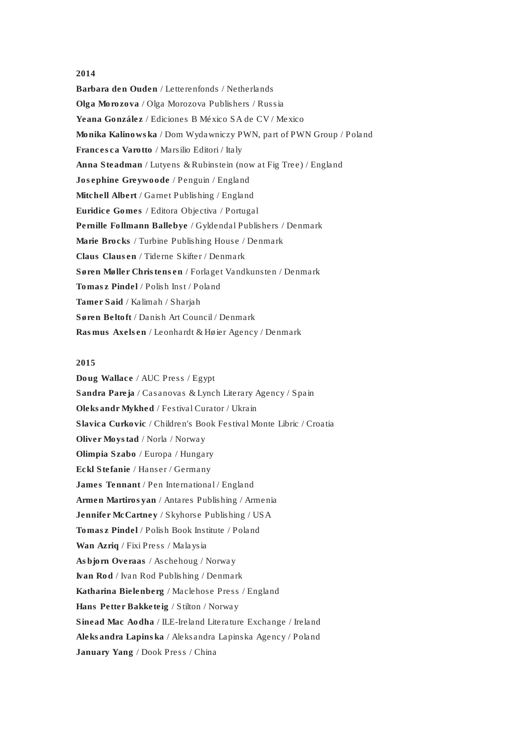## 2014

Barbara den Ouden / Letterenfonds / Netherlands Olga Morozova / Olga Morozova Publishers / Russia Yeana González / Ediciones B México SA de CV / Mexico Monika Kalinowska / Dom Wydawniczy PWN, part of PWN Group / Poland Francesca Varotto / Marsilio Editori / Italy Anna Steadman / Lutyens & Rubinstein (now at Fig Tree) / England Josephine Greywoode / Penguin / England Mitchell Albert / Garnet Publishing / England Euridice Gomes / Editora Objectiva / Portugal Pernille Follmann Ballebye / Gyldendal Publishers / Denmark Marie Brocks / Turbine Publishing House / Denmark Claus Clausen / Tiderne Skifter / Denmark Søren Møller Christensen / Forlaget Vandkunsten / Denmark Tomasz Pindel / Polish Inst / Poland Tamer Said / Kalimah / Sharjah Søren Beltoft / Danish Art Council / Denmark Rasmus Axelsen / Leonhardt & Høier Agency / Denmark

# 2015

Doug Wallace / AUC Press / Egypt Sandra Pareja / Casanovas & Lynch Literary Agency / Spain Oleksandr Mykhed / Festival Curator / Ukrain Slavica Curkovic / *Children's Book Festival* Monte Libric / Croatia Oliver Moystad / Norla / Norway Olimpia Szabo / Europa / Hungary Eckl Stefanie / Hanser / Germany James Tennant / Pen International / England Armen Martirosyan / Antares Publishing / Armenia Jennifer McCartney / Skyhorse Publishing / USA Tomasz Pindel / Polish Book Institute / Poland Wan Azriq / Fixi Press / Malaysia Asbjorn Overaas / Aschehoug / Norway Ivan Rod / Ivan Rod Publishing / Denmark Katharina Bielenberg / Maclehose Press / England Hans Petter Bakketeig / Stilton / Norway Sinead Mac Aodha / ILE-Ireland Literature Exchange / Ireland Aleksandra Lapinska / Aleksandra Lapinska Agency / Poland January Yang / Dook Press / China